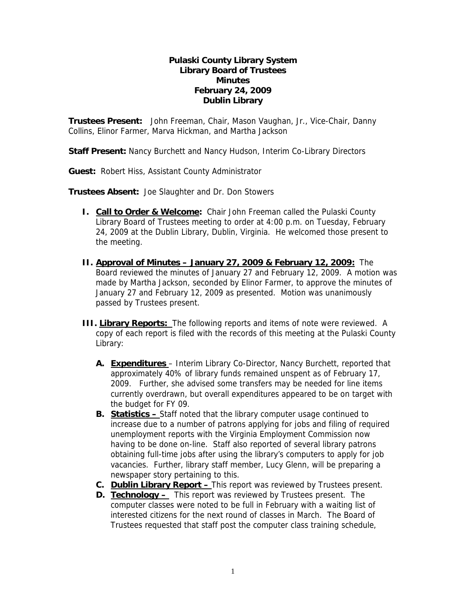## **Pulaski County Library System Library Board of Trustees Minutes February 24, 2009 Dublin Library**

**Trustees Present:** John Freeman, Chair, Mason Vaughan, Jr., Vice-Chair, Danny Collins, Elinor Farmer, Marva Hickman, and Martha Jackson

**Staff Present:** Nancy Burchett and Nancy Hudson, Interim Co-Library Directors

**Guest:** Robert Hiss, Assistant County Administrator

**Trustees Absent:** Joe Slaughter and Dr. Don Stowers

- **I.** Call to Order & Welcome: Chair John Freeman called the Pulaski County Library Board of Trustees meeting to order at 4:00 p.m. on Tuesday, February 24, 2009 at the Dublin Library, Dublin, Virginia. He welcomed those present to the meeting.
- **II. Approval of Minutes January 27, 2009 & February 12, 2009:** The Board reviewed the minutes of January 27 and February 12, 2009. A motion was made by Martha Jackson, seconded by Elinor Farmer, to approve the minutes of January 27 and February 12, 2009 as presented. Motion was unanimously passed by Trustees present.
- **III. Library Reports:** The following reports and items of note were reviewed. A copy of each report is filed with the records of this meeting at the Pulaski County Library:
	- **A. Expenditures** Interim Library Co-Director, Nancy Burchett, reported that approximately 40% of library funds remained unspent as of February 17, 2009. Further, she advised some transfers may be needed for line items currently overdrawn, but overall expenditures appeared to be on target with the budget for FY 09.
	- **B. Statistics** Staff noted that the library computer usage continued to increase due to a number of patrons applying for jobs and filing of required unemployment reports with the Virginia Employment Commission now having to be done on-line. Staff also reported of several library patrons obtaining full-time jobs after using the library's computers to apply for job vacancies. Further, library staff member, Lucy Glenn, will be preparing a newspaper story pertaining to this.
	- **C. Dublin Library Report** This report was reviewed by Trustees present.
	- **D. Technology** This report was reviewed by Trustees present. The computer classes were noted to be full in February with a waiting list of interested citizens for the next round of classes in March. The Board of Trustees requested that staff post the computer class training schedule,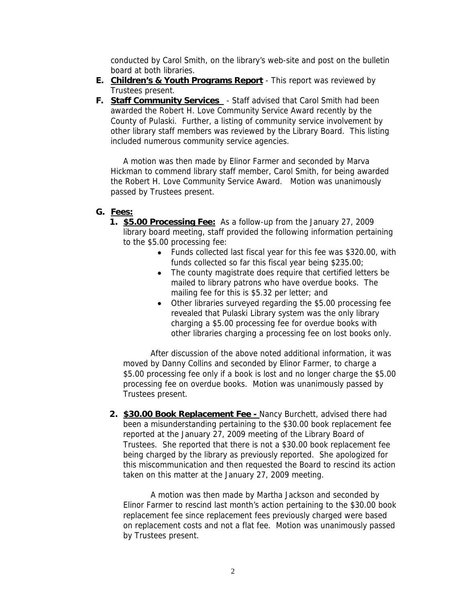conducted by Carol Smith, on the library's web-site and post on the bulletin board at both libraries.

- **E. Children's & Youth Programs Report** This report was reviewed by Trustees present.
- **F. Staff Community Services**  Staff advised that Carol Smith had been awarded the Robert H. Love Community Service Award recently by the County of Pulaski. Further, a listing of community service involvement by other library staff members was reviewed by the Library Board. This listing included numerous community service agencies.

A motion was then made by Elinor Farmer and seconded by Marva Hickman to commend library staff member, Carol Smith, for being awarded the Robert H. Love Community Service Award. Motion was unanimously passed by Trustees present.

# **G. Fees:**

- **1. \$5.00 Processing Fee:** As a follow-up from the January 27, 2009 library board meeting, staff provided the following information pertaining to the \$5.00 processing fee:
	- Funds collected last fiscal year for this fee was \$320.00, with funds collected so far this fiscal year being \$235.00;
	- The county magistrate does require that certified letters be mailed to library patrons who have overdue books. The mailing fee for this is \$5.32 per letter; and
	- Other libraries surveyed regarding the \$5.00 processing fee revealed that Pulaski Library system was the only library charging a \$5.00 processing fee for overdue books with other libraries charging a processing fee on lost books only.

After discussion of the above noted additional information, it was moved by Danny Collins and seconded by Elinor Farmer, to charge a \$5.00 processing fee only if a book is lost and no longer charge the \$5.00 processing fee on overdue books. Motion was unanimously passed by Trustees present.

**2. \$30.00 Book Replacement Fee -** Nancy Burchett, advised there had been a misunderstanding pertaining to the \$30.00 book replacement fee reported at the January 27, 2009 meeting of the Library Board of Trustees. She reported that there is not a \$30.00 book replacement fee being charged by the library as previously reported. She apologized for this miscommunication and then requested the Board to rescind its action taken on this matter at the January 27, 2009 meeting.

A motion was then made by Martha Jackson and seconded by Elinor Farmer to rescind last month's action pertaining to the \$30.00 book replacement fee since replacement fees previously charged were based on replacement costs and not a flat fee. Motion was unanimously passed by Trustees present.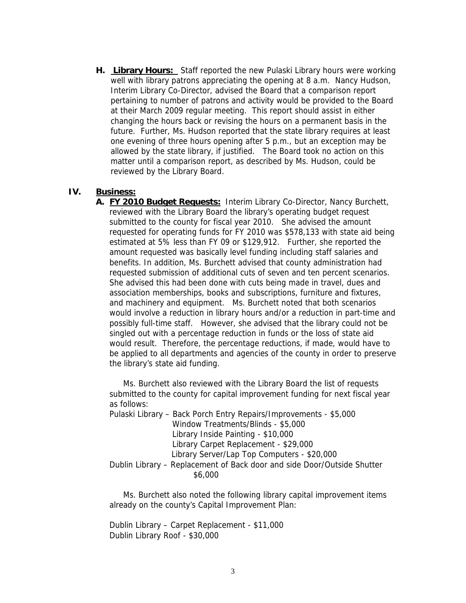**H. Library Hours:** Staff reported the new Pulaski Library hours were working well with library patrons appreciating the opening at 8 a.m. Nancy Hudson, Interim Library Co-Director, advised the Board that a comparison report pertaining to number of patrons and activity would be provided to the Board at their March 2009 regular meeting. This report should assist in either changing the hours back or revising the hours on a permanent basis in the future. Further, Ms. Hudson reported that the state library requires at least one evening of three hours opening after 5 p.m., but an exception may be allowed by the state library, if justified. The Board took no action on this matter until a comparison report, as described by Ms. Hudson, could be reviewed by the Library Board.

### **IV. Business:**

**A. FY 2010 Budget Requests:** Interim Library Co-Director, Nancy Burchett, reviewed with the Library Board the library's operating budget request submitted to the county for fiscal year 2010. She advised the amount requested for operating funds for FY 2010 was \$578,133 with state aid being estimated at 5% less than FY 09 or \$129,912. Further, she reported the amount requested was basically level funding including staff salaries and benefits. In addition, Ms. Burchett advised that county administration had requested submission of additional cuts of seven and ten percent scenarios. She advised this had been done with cuts being made in travel, dues and association memberships, books and subscriptions, furniture and fixtures, and machinery and equipment. Ms. Burchett noted that both scenarios would involve a reduction in library hours and/or a reduction in part-time and possibly full-time staff. However, she advised that the library could not be singled out with a percentage reduction in funds or the loss of state aid would result. Therefore, the percentage reductions, if made, would have to be applied to all departments and agencies of the county in order to preserve the library's state aid funding.

Ms. Burchett also reviewed with the Library Board the list of requests submitted to the county for capital improvement funding for next fiscal year as follows:

Pulaski Library – Back Porch Entry Repairs/Improvements - \$5,000 Window Treatments/Blinds - \$5,000 Library Inside Painting - \$10,000 Library Carpet Replacement - \$29,000 Library Server/Lap Top Computers - \$20,000 Dublin Library – Replacement of Back door and side Door/Outside Shutter \$6,000

Ms. Burchett also noted the following library capital improvement items already on the county's Capital Improvement Plan:

Dublin Library – Carpet Replacement - \$11,000 Dublin Library Roof - \$30,000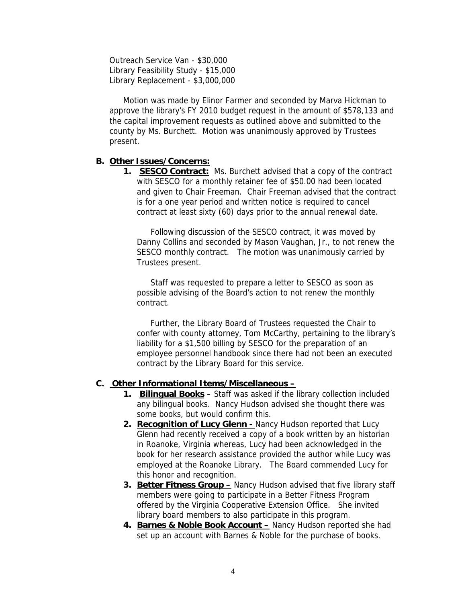Outreach Service Van - \$30,000 Library Feasibility Study - \$15,000 Library Replacement - \$3,000,000

Motion was made by Elinor Farmer and seconded by Marva Hickman to approve the library's FY 2010 budget request in the amount of \$578,133 and the capital improvement requests as outlined above and submitted to the county by Ms. Burchett. Motion was unanimously approved by Trustees present.

### **B. Other Issues/Concerns:**

**1. SESCO Contract:** Ms. Burchett advised that a copy of the contract with SESCO for a monthly retainer fee of \$50.00 had been located and given to Chair Freeman. Chair Freeman advised that the contract is for a one year period and written notice is required to cancel contract at least sixty (60) days prior to the annual renewal date.

Following discussion of the SESCO contract, it was moved by Danny Collins and seconded by Mason Vaughan, Jr., to not renew the SESCO monthly contract. The motion was unanimously carried by Trustees present.

Staff was requested to prepare a letter to SESCO as soon as possible advising of the Board's action to not renew the monthly contract.

Further, the Library Board of Trustees requested the Chair to confer with county attorney, Tom McCarthy, pertaining to the library's liability for a \$1,500 billing by SESCO for the preparation of an employee personnel handbook since there had not been an executed contract by the Library Board for this service.

#### **C. Other Informational Items/Miscellaneous –**

- **1. Bilingual Books** Staff was asked if the library collection included any bilingual books. Nancy Hudson advised she thought there was some books, but would confirm this.
- **2. Recognition of Lucy Glenn** Nancy Hudson reported that Lucy Glenn had recently received a copy of a book written by an historian in Roanoke, Virginia whereas, Lucy had been acknowledged in the book for her research assistance provided the author while Lucy was employed at the Roanoke Library. The Board commended Lucy for this honor and recognition.
- **3. Better Fitness Group –** Nancy Hudson advised that five library staff members were going to participate in a Better Fitness Program offered by the Virginia Cooperative Extension Office. She invited library board members to also participate in this program.
- **4. Barnes & Noble Book Account –** Nancy Hudson reported she had set up an account with Barnes & Noble for the purchase of books.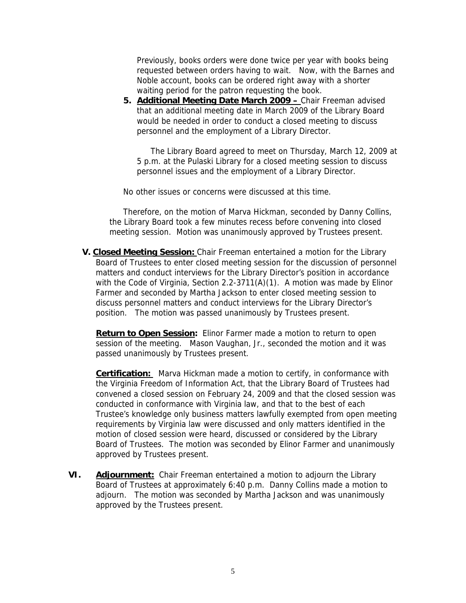Previously, books orders were done twice per year with books being requested between orders having to wait. Now, with the Barnes and Noble account, books can be ordered right away with a shorter waiting period for the patron requesting the book.

**5. Additional Meeting Date March 2009 –** Chair Freeman advised that an additional meeting date in March 2009 of the Library Board would be needed in order to conduct a closed meeting to discuss personnel and the employment of a Library Director.

The Library Board agreed to meet on Thursday, March 12, 2009 at 5 p.m. at the Pulaski Library for a closed meeting session to discuss personnel issues and the employment of a Library Director.

No other issues or concerns were discussed at this time.

Therefore, on the motion of Marva Hickman, seconded by Danny Collins, the Library Board took a few minutes recess before convening into closed meeting session. Motion was unanimously approved by Trustees present.

**V. Closed Meeting Session:** Chair Freeman entertained a motion for the Library Board of Trustees to enter closed meeting session for the discussion of personnel matters and conduct interviews for the Library Director's position in accordance with the Code of Virginia, Section 2.2-3711(A)(1). A motion was made by Elinor Farmer and seconded by Martha Jackson to enter closed meeting session to discuss personnel matters and conduct interviews for the Library Director's position. The motion was passed unanimously by Trustees present.

**Return to Open Session:** Elinor Farmer made a motion to return to open session of the meeting. Mason Vaughan, Jr., seconded the motion and it was passed unanimously by Trustees present.

**Certification:** Marva Hickman made a motion to certify, in conformance with the Virginia Freedom of Information Act, that the Library Board of Trustees had convened a closed session on February 24, 2009 and that the closed session was conducted in conformance with Virginia law, and that to the best of each Trustee's knowledge only business matters lawfully exempted from open meeting requirements by Virginia law were discussed and only matters identified in the motion of closed session were heard, discussed or considered by the Library Board of Trustees. The motion was seconded by Elinor Farmer and unanimously approved by Trustees present.

**VI. Adjournment:** Chair Freeman entertained a motion to adjourn the Library Board of Trustees at approximately 6:40 p.m. Danny Collins made a motion to adjourn. The motion was seconded by Martha Jackson and was unanimously approved by the Trustees present.